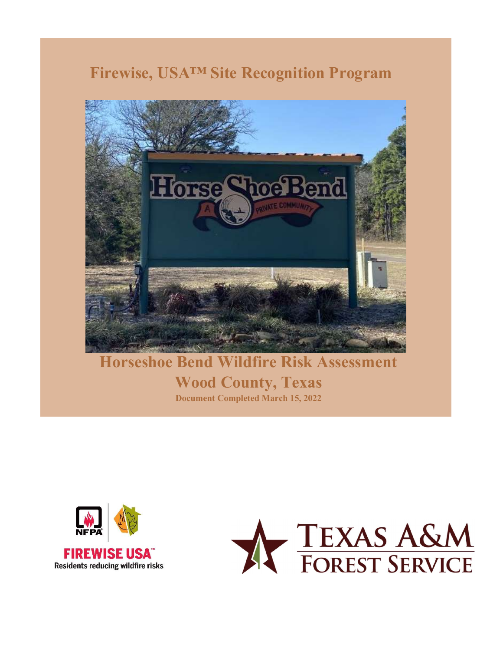# Firewise, USA™ Site Recognition Program



Horseshoe Bend Wildfire Risk Assessment Wood County, Texas Document Completed March 15, 2022



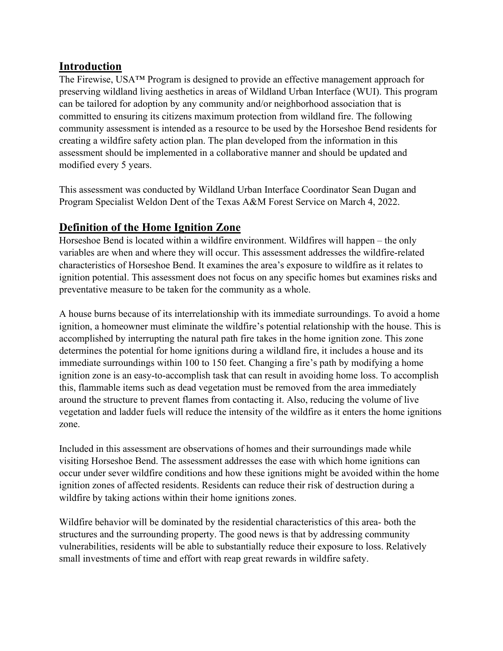#### Introduction

The Firewise, USA™ Program is designed to provide an effective management approach for preserving wildland living aesthetics in areas of Wildland Urban Interface (WUI). This program can be tailored for adoption by any community and/or neighborhood association that is committed to ensuring its citizens maximum protection from wildland fire. The following community assessment is intended as a resource to be used by the Horseshoe Bend residents for creating a wildfire safety action plan. The plan developed from the information in this assessment should be implemented in a collaborative manner and should be updated and modified every 5 years.

This assessment was conducted by Wildland Urban Interface Coordinator Sean Dugan and Program Specialist Weldon Dent of the Texas A&M Forest Service on March 4, 2022.

### Definition of the Home Ignition Zone

Horseshoe Bend is located within a wildfire environment. Wildfires will happen – the only variables are when and where they will occur. This assessment addresses the wildfire-related characteristics of Horseshoe Bend. It examines the area's exposure to wildfire as it relates to ignition potential. This assessment does not focus on any specific homes but examines risks and preventative measure to be taken for the community as a whole.

A house burns because of its interrelationship with its immediate surroundings. To avoid a home ignition, a homeowner must eliminate the wildfire's potential relationship with the house. This is accomplished by interrupting the natural path fire takes in the home ignition zone. This zone determines the potential for home ignitions during a wildland fire, it includes a house and its immediate surroundings within 100 to 150 feet. Changing a fire's path by modifying a home ignition zone is an easy-to-accomplish task that can result in avoiding home loss. To accomplish this, flammable items such as dead vegetation must be removed from the area immediately around the structure to prevent flames from contacting it. Also, reducing the volume of live vegetation and ladder fuels will reduce the intensity of the wildfire as it enters the home ignitions zone.

Included in this assessment are observations of homes and their surroundings made while visiting Horseshoe Bend. The assessment addresses the ease with which home ignitions can occur under sever wildfire conditions and how these ignitions might be avoided within the home ignition zones of affected residents. Residents can reduce their risk of destruction during a wildfire by taking actions within their home ignitions zones.

Wildfire behavior will be dominated by the residential characteristics of this area- both the structures and the surrounding property. The good news is that by addressing community vulnerabilities, residents will be able to substantially reduce their exposure to loss. Relatively small investments of time and effort with reap great rewards in wildfire safety.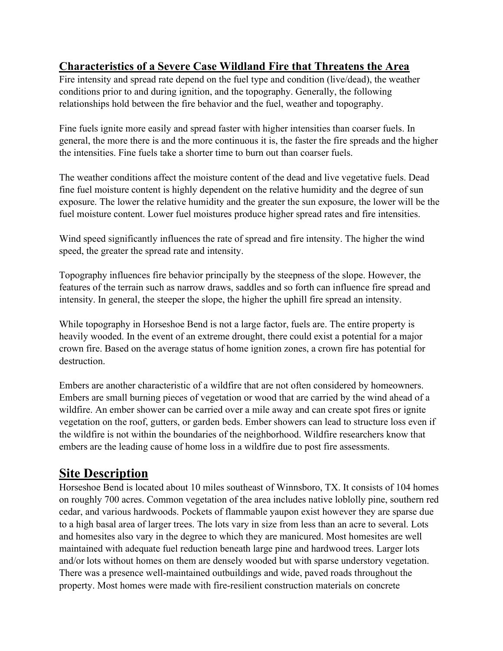#### Characteristics of a Severe Case Wildland Fire that Threatens the Area

Fire intensity and spread rate depend on the fuel type and condition (live/dead), the weather conditions prior to and during ignition, and the topography. Generally, the following relationships hold between the fire behavior and the fuel, weather and topography.

Fine fuels ignite more easily and spread faster with higher intensities than coarser fuels. In general, the more there is and the more continuous it is, the faster the fire spreads and the higher the intensities. Fine fuels take a shorter time to burn out than coarser fuels.

The weather conditions affect the moisture content of the dead and live vegetative fuels. Dead fine fuel moisture content is highly dependent on the relative humidity and the degree of sun exposure. The lower the relative humidity and the greater the sun exposure, the lower will be the fuel moisture content. Lower fuel moistures produce higher spread rates and fire intensities.

Wind speed significantly influences the rate of spread and fire intensity. The higher the wind speed, the greater the spread rate and intensity.

Topography influences fire behavior principally by the steepness of the slope. However, the features of the terrain such as narrow draws, saddles and so forth can influence fire spread and intensity. In general, the steeper the slope, the higher the uphill fire spread an intensity.

While topography in Horseshoe Bend is not a large factor, fuels are. The entire property is heavily wooded. In the event of an extreme drought, there could exist a potential for a major crown fire. Based on the average status of home ignition zones, a crown fire has potential for destruction.

Embers are another characteristic of a wildfire that are not often considered by homeowners. Embers are small burning pieces of vegetation or wood that are carried by the wind ahead of a wildfire. An ember shower can be carried over a mile away and can create spot fires or ignite vegetation on the roof, gutters, or garden beds. Ember showers can lead to structure loss even if the wildfire is not within the boundaries of the neighborhood. Wildfire researchers know that embers are the leading cause of home loss in a wildfire due to post fire assessments.

# Site Description

Horseshoe Bend is located about 10 miles southeast of Winnsboro, TX. It consists of 104 homes on roughly 700 acres. Common vegetation of the area includes native loblolly pine, southern red cedar, and various hardwoods. Pockets of flammable yaupon exist however they are sparse due to a high basal area of larger trees. The lots vary in size from less than an acre to several. Lots and homesites also vary in the degree to which they are manicured. Most homesites are well maintained with adequate fuel reduction beneath large pine and hardwood trees. Larger lots and/or lots without homes on them are densely wooded but with sparse understory vegetation. There was a presence well-maintained outbuildings and wide, paved roads throughout the property. Most homes were made with fire-resilient construction materials on concrete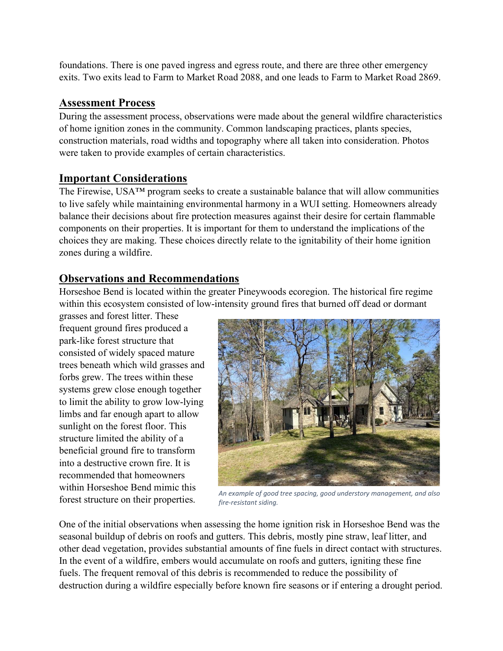foundations. There is one paved ingress and egress route, and there are three other emergency exits. Two exits lead to Farm to Market Road 2088, and one leads to Farm to Market Road 2869.

#### Assessment Process

During the assessment process, observations were made about the general wildfire characteristics of home ignition zones in the community. Common landscaping practices, plants species, construction materials, road widths and topography where all taken into consideration. Photos were taken to provide examples of certain characteristics.

#### Important Considerations

The Firewise, USA™ program seeks to create a sustainable balance that will allow communities to live safely while maintaining environmental harmony in a WUI setting. Homeowners already balance their decisions about fire protection measures against their desire for certain flammable components on their properties. It is important for them to understand the implications of the choices they are making. These choices directly relate to the ignitability of their home ignition zones during a wildfire.

#### Observations and Recommendations

Horseshoe Bend is located within the greater Pineywoods ecoregion. The historical fire regime within this ecosystem consisted of low-intensity ground fires that burned off dead or dormant

grasses and forest litter. These frequent ground fires produced a park-like forest structure that consisted of widely spaced mature trees beneath which wild grasses and forbs grew. The trees within these systems grew close enough together to limit the ability to grow low-lying limbs and far enough apart to allow sunlight on the forest floor. This structure limited the ability of a beneficial ground fire to transform into a destructive crown fire. It is recommended that homeowners within Horseshoe Bend mimic this forest structure on their properties.



An example of good tree spacing, good understory management, and also fire-resistant siding.

One of the initial observations when assessing the home ignition risk in Horseshoe Bend was the seasonal buildup of debris on roofs and gutters. This debris, mostly pine straw, leaf litter, and other dead vegetation, provides substantial amounts of fine fuels in direct contact with structures. In the event of a wildfire, embers would accumulate on roofs and gutters, igniting these fine fuels. The frequent removal of this debris is recommended to reduce the possibility of destruction during a wildfire especially before known fire seasons or if entering a drought period.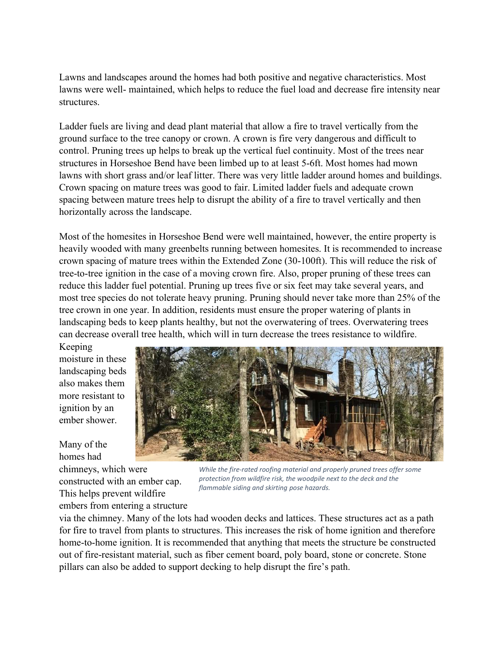Lawns and landscapes around the homes had both positive and negative characteristics. Most lawns were well- maintained, which helps to reduce the fuel load and decrease fire intensity near structures.

Ladder fuels are living and dead plant material that allow a fire to travel vertically from the ground surface to the tree canopy or crown. A crown is fire very dangerous and difficult to control. Pruning trees up helps to break up the vertical fuel continuity. Most of the trees near structures in Horseshoe Bend have been limbed up to at least 5-6ft. Most homes had mown lawns with short grass and/or leaf litter. There was very little ladder around homes and buildings. Crown spacing on mature trees was good to fair. Limited ladder fuels and adequate crown spacing between mature trees help to disrupt the ability of a fire to travel vertically and then horizontally across the landscape.

Most of the homesites in Horseshoe Bend were well maintained, however, the entire property is heavily wooded with many greenbelts running between homesites. It is recommended to increase crown spacing of mature trees within the Extended Zone (30-100ft). This will reduce the risk of tree-to-tree ignition in the case of a moving crown fire. Also, proper pruning of these trees can reduce this ladder fuel potential. Pruning up trees five or six feet may take several years, and most tree species do not tolerate heavy pruning. Pruning should never take more than 25% of the tree crown in one year. In addition, residents must ensure the proper watering of plants in landscaping beds to keep plants healthy, but not the overwatering of trees. Overwatering trees can decrease overall tree health, which will in turn decrease the trees resistance to wildfire.

Keeping moisture in these landscaping beds also makes them more resistant to ignition by an ember shower.

Many of the homes had chimneys, which were constructed with an ember cap. This helps prevent wildfire embers from entering a structure



While the fire-rated roofing material and properly pruned trees offer some protection from wildfire risk, the woodpile next to the deck and the flammable siding and skirting pose hazards.

via the chimney. Many of the lots had wooden decks and lattices. These structures act as a path for fire to travel from plants to structures. This increases the risk of home ignition and therefore home-to-home ignition. It is recommended that anything that meets the structure be constructed out of fire-resistant material, such as fiber cement board, poly board, stone or concrete. Stone pillars can also be added to support decking to help disrupt the fire's path.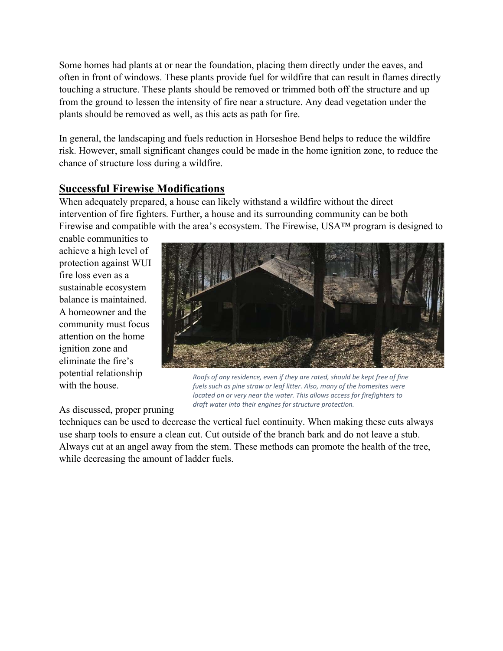Some homes had plants at or near the foundation, placing them directly under the eaves, and often in front of windows. These plants provide fuel for wildfire that can result in flames directly touching a structure. These plants should be removed or trimmed both off the structure and up from the ground to lessen the intensity of fire near a structure. Any dead vegetation under the plants should be removed as well, as this acts as path for fire.

In general, the landscaping and fuels reduction in Horseshoe Bend helps to reduce the wildfire risk. However, small significant changes could be made in the home ignition zone, to reduce the chance of structure loss during a wildfire.

#### Successful Firewise Modifications

When adequately prepared, a house can likely withstand a wildfire without the direct intervention of fire fighters. Further, a house and its surrounding community can be both Firewise and compatible with the area's ecosystem. The Firewise, USA™ program is designed to

enable communities to achieve a high level of protection against WUI fire loss even as a sustainable ecosystem balance is maintained. A homeowner and the community must focus attention on the home ignition zone and eliminate the fire's potential relationship with the house.



Roofs of any residence, even if they are rated, should be kept free of fine fuels such as pine straw or leaf litter. Also, many of the homesites were located on or very near the water. This allows access for firefighters to draft water into their engines for structure protection.

As discussed, proper pruning

techniques can be used to decrease the vertical fuel continuity. When making these cuts always use sharp tools to ensure a clean cut. Cut outside of the branch bark and do not leave a stub. Always cut at an angel away from the stem. These methods can promote the health of the tree, while decreasing the amount of ladder fuels.